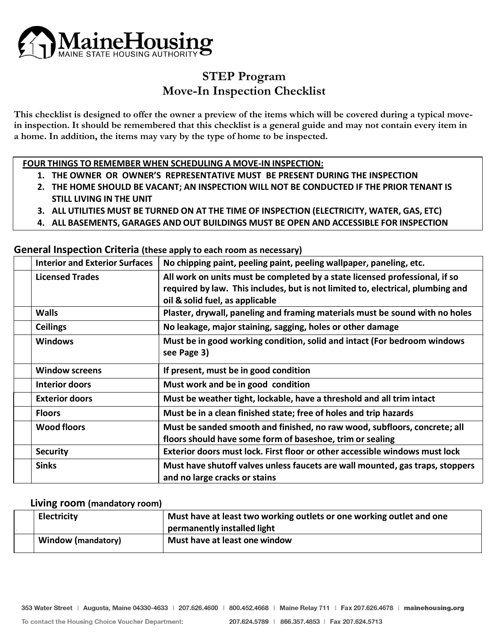

## **STEP Program Move-In Inspection Checklist**

**This checklist is designed to offer the owner a preview of the items which will be covered during a typical movein inspection. It should be remembered that this checklist is a general guide and may not contain every item in a home. In addition, the items may vary by the type of home to be inspected.**

**FOUR THINGS TO REMEMBER WHEN SCHEDULING A MOVE-IN INSPECTION:**

- **1. THE OWNER OR OWNER'S REPRESENTATIVE MUST BE PRESENT DURING THE INSPECTION**
- **2. THE HOME SHOULD BE VACANT; AN INSPECTION WILL NOT BE CONDUCTED IF THE PRIOR TENANT IS STILL LIVING IN THE UNIT**
- **3. ALL UTILITIES MUST BE TURNED ON AT THE TIME OF INSPECTION (ELECTRICITY, WATER, GAS, ETC)**
- **4. ALL BASEMENTS, GARAGES AND OUT BUILDINGS MUST BE OPEN AND ACCESSIBLE FOR INSPECTION**

**General Inspection Criteria (these apply to each room as necessary)**

| <b>Interior and Exterior Surfaces</b> | No chipping paint, peeling paint, peeling wallpaper, paneling, etc.                                                                                                                               |
|---------------------------------------|---------------------------------------------------------------------------------------------------------------------------------------------------------------------------------------------------|
| <b>Licensed Trades</b>                | All work on units must be completed by a state licensed professional, if so<br>required by law. This includes, but is not limited to, electrical, plumbing and<br>oil & solid fuel, as applicable |
| <b>Walls</b>                          | Plaster, drywall, paneling and framing materials must be sound with no holes                                                                                                                      |
| <b>Ceilings</b>                       | No leakage, major staining, sagging, holes or other damage                                                                                                                                        |
| <b>Windows</b>                        | Must be in good working condition, solid and intact (For bedroom windows<br>see Page 3)                                                                                                           |
| <b>Window screens</b>                 | If present, must be in good condition                                                                                                                                                             |
| <b>Interior doors</b>                 | Must work and be in good condition                                                                                                                                                                |
| <b>Exterior doors</b>                 | Must be weather tight, lockable, have a threshold and all trim intact                                                                                                                             |
| <b>Floors</b>                         | Must be in a clean finished state; free of holes and trip hazards                                                                                                                                 |
| <b>Wood floors</b>                    | Must be sanded smooth and finished, no raw wood, subfloors, concrete; all<br>floors should have some form of baseshoe, trim or sealing                                                            |
| <b>Security</b>                       | Exterior doors must lock. First floor or other accessible windows must lock                                                                                                                       |
| <b>Sinks</b>                          | Must have shutoff valves unless faucets are wall mounted, gas traps, stoppers<br>and no large cracks or stains                                                                                    |

#### **Living room (mandatory room)**

| <b>Electricity</b>        | Must have at least two working outlets or one working outlet and one |
|---------------------------|----------------------------------------------------------------------|
|                           | permanently installed light                                          |
| <b>Window (mandatory)</b> | Must have at least one window                                        |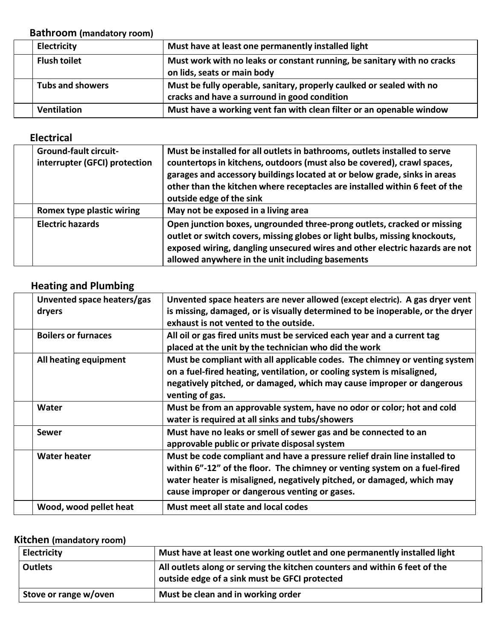#### **Bathroom (mandatory room)**

| Electricity             | Must have at least one permanently installed light                                                                   |
|-------------------------|----------------------------------------------------------------------------------------------------------------------|
| <b>Flush toilet</b>     | Must work with no leaks or constant running, be sanitary with no cracks<br>on lids, seats or main body               |
| <b>Tubs and showers</b> | Must be fully operable, sanitary, properly caulked or sealed with no<br>cracks and have a surround in good condition |
| <b>Ventilation</b>      | Must have a working vent fan with clean filter or an openable window                                                 |

#### **Electrical**

| <b>Ground-fault circuit-</b><br>interrupter (GFCI) protection | Must be installed for all outlets in bathrooms, outlets installed to serve<br>countertops in kitchens, outdoors (must also be covered), crawl spaces,<br>garages and accessory buildings located at or below grade, sinks in areas<br>other than the kitchen where receptacles are installed within 6 feet of the<br>outside edge of the sink |
|---------------------------------------------------------------|-----------------------------------------------------------------------------------------------------------------------------------------------------------------------------------------------------------------------------------------------------------------------------------------------------------------------------------------------|
| <b>Romex type plastic wiring</b>                              | May not be exposed in a living area                                                                                                                                                                                                                                                                                                           |
| <b>Electric hazards</b>                                       | Open junction boxes, ungrounded three-prong outlets, cracked or missing<br>outlet or switch covers, missing globes or light bulbs, missing knockouts,<br>exposed wiring, dangling unsecured wires and other electric hazards are not<br>allowed anywhere in the unit including basements                                                      |

### **Heating and Plumbing**

| Unvented space heaters/gas<br>dryers | Unvented space heaters are never allowed (except electric). A gas dryer vent<br>is missing, damaged, or is visually determined to be inoperable, or the dryer<br>exhaust is not vented to the outside.                                                                           |
|--------------------------------------|----------------------------------------------------------------------------------------------------------------------------------------------------------------------------------------------------------------------------------------------------------------------------------|
| <b>Boilers or furnaces</b>           | All oil or gas fired units must be serviced each year and a current tag<br>placed at the unit by the technician who did the work                                                                                                                                                 |
| All heating equipment                | Must be compliant with all applicable codes. The chimney or venting system<br>on a fuel-fired heating, ventilation, or cooling system is misaligned,<br>negatively pitched, or damaged, which may cause improper or dangerous<br>venting of gas.                                 |
| <b>Water</b>                         | Must be from an approvable system, have no odor or color; hot and cold<br>water is required at all sinks and tubs/showers                                                                                                                                                        |
| Sewer                                | Must have no leaks or smell of sewer gas and be connected to an<br>approvable public or private disposal system                                                                                                                                                                  |
| <b>Water heater</b>                  | Must be code compliant and have a pressure relief drain line installed to<br>within 6"-12" of the floor. The chimney or venting system on a fuel-fired<br>water heater is misaligned, negatively pitched, or damaged, which may<br>cause improper or dangerous venting or gases. |
| Wood, wood pellet heat               | Must meet all state and local codes                                                                                                                                                                                                                                              |

#### **Kitchen (mandatory room)**

| <b>Electricity</b>    | Must have at least one working outlet and one permanently installed light                                                   |
|-----------------------|-----------------------------------------------------------------------------------------------------------------------------|
| <b>Outlets</b>        | All outlets along or serving the kitchen counters and within 6 feet of the<br>outside edge of a sink must be GFCI protected |
| Stove or range w/oven | Must be clean and in working order                                                                                          |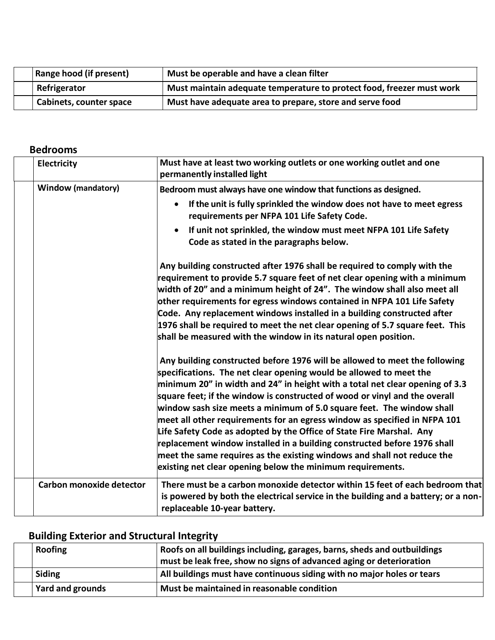| <b>Range hood (if present)</b> | Must be operable and have a clean filter                              |
|--------------------------------|-----------------------------------------------------------------------|
| Refrigerator                   | Must maintain adequate temperature to protect food, freezer must work |
| <b>Cabinets, counter space</b> | Must have adequate area to prepare, store and serve food              |

### **Bedrooms**

| Electricity               | Must have at least two working outlets or one working outlet and one<br>permanently installed light                                                                                                                                                                                                                                                                                                                                                                                                                                                                                                                                                                                                                                                               |
|---------------------------|-------------------------------------------------------------------------------------------------------------------------------------------------------------------------------------------------------------------------------------------------------------------------------------------------------------------------------------------------------------------------------------------------------------------------------------------------------------------------------------------------------------------------------------------------------------------------------------------------------------------------------------------------------------------------------------------------------------------------------------------------------------------|
| <b>Window (mandatory)</b> | Bedroom must always have one window that functions as designed.                                                                                                                                                                                                                                                                                                                                                                                                                                                                                                                                                                                                                                                                                                   |
|                           | If the unit is fully sprinkled the window does not have to meet egress<br>requirements per NFPA 101 Life Safety Code.                                                                                                                                                                                                                                                                                                                                                                                                                                                                                                                                                                                                                                             |
|                           | If unit not sprinkled, the window must meet NFPA 101 Life Safety<br>Code as stated in the paragraphs below.                                                                                                                                                                                                                                                                                                                                                                                                                                                                                                                                                                                                                                                       |
|                           | Any building constructed after 1976 shall be required to comply with the<br>requirement to provide 5.7 square feet of net clear opening with a minimum<br>width of 20" and a minimum height of 24". The window shall also meet all<br>other requirements for egress windows contained in NFPA 101 Life Safety<br>Code. Any replacement windows installed in a building constructed after<br>1976 shall be required to meet the net clear opening of 5.7 square feet. This<br>shall be measured with the window in its natural open position.                                                                                                                                                                                                                      |
|                           | Any building constructed before 1976 will be allowed to meet the following<br>specifications. The net clear opening would be allowed to meet the<br>minimum 20" in width and 24" in height with a total net clear opening of 3.3<br>square feet; if the window is constructed of wood or vinyl and the overall<br>window sash size meets a minimum of 5.0 square feet. The window shall<br>meet all other requirements for an egress window as specified in NFPA 101<br>Life Safety Code as adopted by the Office of State Fire Marshal. Any<br>replacement window installed in a building constructed before 1976 shall<br>meet the same requires as the existing windows and shall not reduce the<br>existing net clear opening below the minimum requirements. |
| Carbon monoxide detector  | There must be a carbon monoxide detector within 15 feet of each bedroom that<br>is powered by both the electrical service in the building and a battery; or a non-<br>replaceable 10-year battery.                                                                                                                                                                                                                                                                                                                                                                                                                                                                                                                                                                |

# **Building Exterior and Structural Integrity**

| <b>Roofing</b>          | Roofs on all buildings including, garages, barns, sheds and outbuildings<br>must be leak free, show no signs of advanced aging or deterioration |
|-------------------------|-------------------------------------------------------------------------------------------------------------------------------------------------|
| <b>Siding</b>           | All buildings must have continuous siding with no major holes or tears                                                                          |
| <b>Yard and grounds</b> | Must be maintained in reasonable condition                                                                                                      |